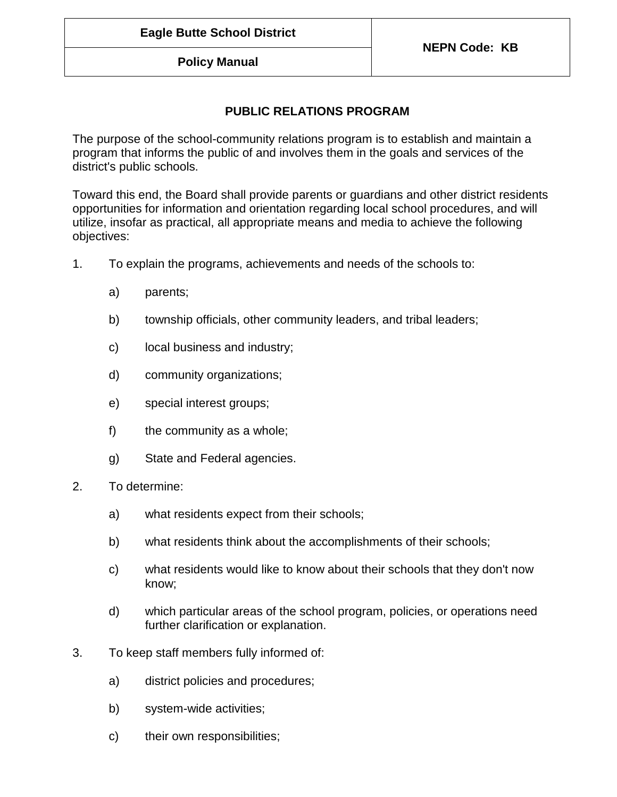## **Policy Manual**

## **PUBLIC RELATIONS PROGRAM**

The purpose of the school-community relations program is to establish and maintain a program that informs the public of and involves them in the goals and services of the district's public schools.

Toward this end, the Board shall provide parents or guardians and other district residents opportunities for information and orientation regarding local school procedures, and will utilize, insofar as practical, all appropriate means and media to achieve the following objectives:

- 1. To explain the programs, achievements and needs of the schools to:
	- a) parents;
	- b) township officials, other community leaders, and tribal leaders;
	- c) local business and industry;
	- d) community organizations;
	- e) special interest groups;
	- f) the community as a whole;
	- g) State and Federal agencies.
- 2. To determine:
	- a) what residents expect from their schools;
	- b) what residents think about the accomplishments of their schools;
	- c) what residents would like to know about their schools that they don't now know;
	- d) which particular areas of the school program, policies, or operations need further clarification or explanation.
- 3. To keep staff members fully informed of:
	- a) district policies and procedures;
	- b) system-wide activities;
	- c) their own responsibilities;